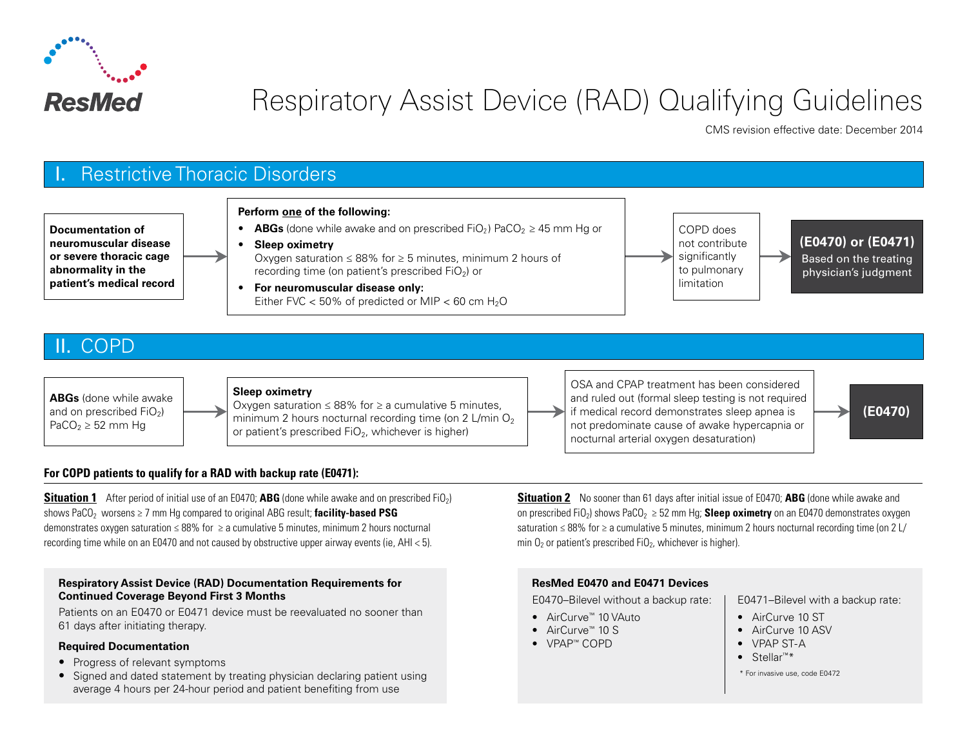

# Respiratory Assist Device (RAD) Qualifying Guidelines

CMS revision effective date: December 2014



# II. COPD



#### **Sleep oximetry**

Oxygen saturation ≤ 88% for  $≥$  a cumulative 5 minutes. minimum 2 hours nocturnal recording time (on  $2 \text{ L/min } \text{O}_2$ ) or patient's prescribed  $FiO<sub>2</sub>$ , whichever is higher)

OSA and CPAP treatment has been considered and ruled out (formal sleep testing is not required if medical record demonstrates sleep apnea is not predominate cause of awake hypercapnia or nocturnal arterial oxygen desaturation)

**(E0470)**

#### **For COPD patients to qualify for a RAD with backup rate (E0471):**

**Situation 1** After period of initial use of an E0470; **ABG** (done while awake and on prescribed FiO<sub>2</sub>) shows PaCO<sub>2</sub> worsens ≥ 7 mm Hg compared to original ABG result; **facility-based PSG** demonstrates oxygen saturation  $\leq 88\%$  for  $\geq a$  cumulative 5 minutes, minimum 2 hours nocturnal recording time while on an E0470 and not caused by obstructive upper airway events (ie, AHI < 5).

#### **Respiratory Assist Device (RAD) Documentation Requirements for Continued Coverage Beyond First 3 Months**

Patients on an E0470 or E0471 device must be reevaluated no sooner than 61 days after initiating therapy.

#### **Required Documentation**

- Progress of relevant symptoms
- Signed and dated statement by treating physician declaring patient using average 4 hours per 24-hour period and patient benefiting from use

**Situation 2** No sooner than 61 days after initial issue of E0470; **ABG** (done while awake and on prescribed FiO<sub>2</sub>) shows PaCO<sub>2</sub>  $\geq$  52 mm Hg; **Sleep oximetry** on an E0470 demonstrates oxygen saturation ≤ 88% for ≥ a cumulative 5 minutes, minimum 2 hours nocturnal recording time (on 2 L/ min  $O<sub>2</sub>$  or patient's prescribed FiO<sub>2</sub>, whichever is higher).

#### **ResMed E0470 and E0471 Devices**

E0470–Bilevel without a backup rate:

- AirCurve™ 10 VAuto
- AirCurve™ 10 S
- VPAP™ COPD
- Stellar<sup>™\*</sup>
- \* For invasive use, code E0472

• AirCurve 10 ST • AirCurve 10 ASV • VPAP ST-A

E0471–Bilevel with a backup rate: